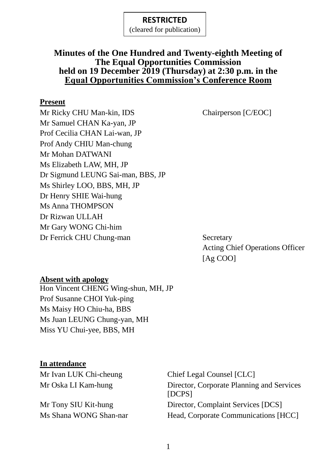(cleared for publication)

#### **Minutes of the One Hundred and Twenty-eighth Meeting of The Equal Opportunities Commission held on 19 December 2019 (Thursday) at 2:30 p.m. in the Equal Opportunities Commission's Conference Room**

#### **Present**

Mr Ricky CHU Man-kin, IDS Chairperson [C/EOC] Mr Samuel CHAN Ka-yan, JP Prof Cecilia CHAN Lai-wan, JP Prof Andy CHIU Man-chung Mr Mohan DATWANI Ms Elizabeth LAW, MH, JP Dr Sigmund LEUNG Sai-man, BBS, JP Ms Shirley LOO, BBS, MH, JP Dr Henry SHIE Wai-hung Ms Anna THOMPSON Dr Rizwan ULLAH Mr Gary WONG Chi-him Dr Ferrick CHU Chung-man Secretary

Acting Chief Operations Officer [Ag COO]

#### **Absent with apology**

Hon Vincent CHENG Wing-shun, MH, JP Prof Susanne CHOI Yuk-ping Ms Maisy HO Chiu-ha, BBS Ms Juan LEUNG Chung-yan, MH Miss YU Chui-yee, BBS, MH

#### **In attendance**

Mr Ivan LUK Chi-cheung Chief Legal Counsel [CLC]

Mr Oska LI Kam-hung Director, Corporate Planning and Services [DCPS] Mr Tony SIU Kit-hung Director, Complaint Services [DCS] Ms Shana WONG Shan-nar Head, Corporate Communications [HCC]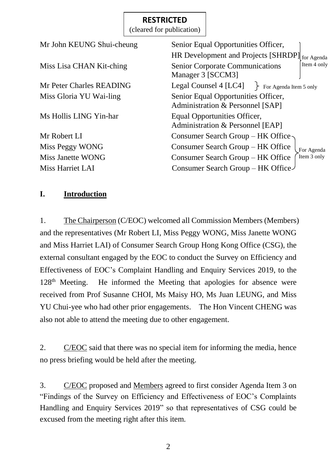|                           | (cleared for publication) |                                                                            |
|---------------------------|---------------------------|----------------------------------------------------------------------------|
| Mr John KEUNG Shui-cheung |                           | Senior Equal Opportunities Officer,                                        |
|                           |                           | HR Development and Projects [SHRDP]<br>for Agenda                          |
| Miss Lisa CHAN Kit-ching  |                           | Item 4 only<br><b>Senior Corporate Communications</b><br>Manager 3 [SCCM3] |
| Mr Peter Charles READING  |                           | Legal Counsel 4 [LC4]<br>For Agenda Item 5 only                            |
| Miss Gloria YU Wai-ling   |                           | Senior Equal Opportunities Officer,<br>Administration & Personnel [SAP]    |
| Ms Hollis LING Yin-har    |                           | Equal Opportunities Officer,<br>Administration & Personnel [EAP]           |
| Mr Robert LI              |                           | Consumer Search Group – HK Office                                          |
| Miss Peggy WONG           |                           | Consumer Search Group – HK Office<br>For Agenda                            |
| Miss Janette WONG         |                           | Item 3 only<br>Consumer Search Group – HK Office                           |
| Miss Harriet LAI          |                           | Consumer Search Group – HK Office                                          |

#### **I. Introduction**

1. The Chairperson (C/EOC) welcomed all Commission Members (Members) and the representatives (Mr Robert LI, Miss Peggy WONG, Miss Janette WONG and Miss Harriet LAI) of Consumer Search Group Hong Kong Office (CSG), the external consultant engaged by the EOC to conduct the Survey on Efficiency and Effectiveness of EOC's Complaint Handling and Enquiry Services 2019, to the 128<sup>th</sup> Meeting. He informed the Meeting that apologies for absence were received from Prof Susanne CHOI, Ms Maisy HO, Ms Juan LEUNG, and Miss YU Chui-yee who had other prior engagements. The Hon Vincent CHENG was also not able to attend the meeting due to other engagement.

2. C/EOC said that there was no special item for informing the media, hence no press briefing would be held after the meeting.

3. C/EOC proposed and Members agreed to first consider Agenda Item 3 on "Findings of the Survey on Efficiency and Effectiveness of EOC's Complaints Handling and Enquiry Services 2019" so that representatives of CSG could be excused from the meeting right after this item.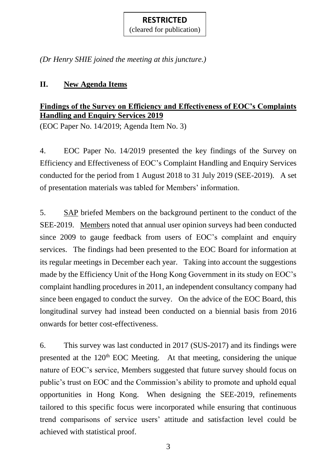(cleared for publication)

*(Dr Henry SHIE joined the meeting at this juncture.)*

## **II. New Agenda Items**

## **Findings of the Survey on Efficiency and Effectiveness of EOC's Complaints Handling and Enquiry Services 2019**

(EOC Paper No. 14/2019; Agenda Item No. 3)

4. EOC Paper No. 14/2019 presented the key findings of the Survey on Efficiency and Effectiveness of EOC's Complaint Handling and Enquiry Services conducted for the period from 1 August 2018 to 31 July 2019 (SEE-2019). A set of presentation materials was tabled for Members' information.

5. SAP briefed Members on the background pertinent to the conduct of the SEE-2019. Members noted that annual user opinion surveys had been conducted since 2009 to gauge feedback from users of EOC's complaint and enquiry services. The findings had been presented to the EOC Board for information at its regular meetings in December each year. Taking into account the suggestions made by the Efficiency Unit of the Hong Kong Government in its study on EOC's complaint handling procedures in 2011, an independent consultancy company had since been engaged to conduct the survey. On the advice of the EOC Board, this longitudinal survey had instead been conducted on a biennial basis from 2016 onwards for better cost-effectiveness.

6. This survey was last conducted in 2017 (SUS-2017) and its findings were presented at the  $120<sup>th</sup>$  EOC Meeting. At that meeting, considering the unique nature of EOC's service, Members suggested that future survey should focus on public's trust on EOC and the Commission's ability to promote and uphold equal opportunities in Hong Kong. When designing the SEE-2019, refinements tailored to this specific focus were incorporated while ensuring that continuous trend comparisons of service users' attitude and satisfaction level could be achieved with statistical proof.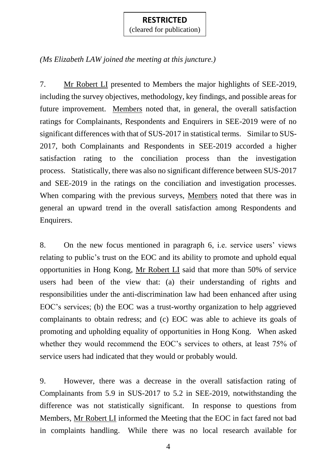(cleared for publication)

### *(Ms Elizabeth LAW joined the meeting at this juncture.)*

7. Mr Robert LI presented to Members the major highlights of SEE-2019, including the survey objectives, methodology, key findings, and possible areas for future improvement. Members noted that, in general, the overall satisfaction ratings for Complainants, Respondents and Enquirers in SEE-2019 were of no significant differences with that of SUS-2017 in statistical terms. Similar to SUS-2017, both Complainants and Respondents in SEE-2019 accorded a higher satisfaction rating to the conciliation process than the investigation process. Statistically, there was also no significant difference between SUS-2017 and SEE-2019 in the ratings on the conciliation and investigation processes. When comparing with the previous surveys, Members noted that there was in general an upward trend in the overall satisfaction among Respondents and Enquirers.

8. On the new focus mentioned in paragraph 6, i.e. service users' views relating to public's trust on the EOC and its ability to promote and uphold equal opportunities in Hong Kong, Mr Robert LI said that more than 50% of service users had been of the view that: (a) their understanding of rights and responsibilities under the anti-discrimination law had been enhanced after using EOC's services; (b) the EOC was a trust-worthy organization to help aggrieved complainants to obtain redress; and (c) EOC was able to achieve its goals of promoting and upholding equality of opportunities in Hong Kong. When asked whether they would recommend the EOC's services to others, at least 75% of service users had indicated that they would or probably would.

9. However, there was a decrease in the overall satisfaction rating of Complainants from 5.9 in SUS-2017 to 5.2 in SEE-2019, notwithstanding the difference was not statistically significant. In response to questions from Members, Mr Robert LI informed the Meeting that the EOC in fact fared not bad in complaints handling. While there was no local research available for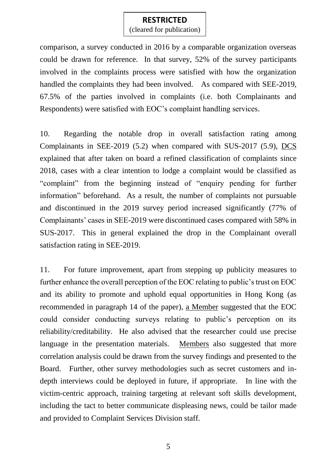(cleared for publication)

comparison, a survey conducted in 2016 by a comparable organization overseas could be drawn for reference. In that survey, 52% of the survey participants involved in the complaints process were satisfied with how the organization handled the complaints they had been involved. As compared with SEE-2019, 67.5% of the parties involved in complaints (i.e. both Complainants and Respondents) were satisfied with EOC's complaint handling services.

10. Regarding the notable drop in overall satisfaction rating among Complainants in SEE-2019 (5.2) when compared with SUS-2017 (5.9), DCS explained that after taken on board a refined classification of complaints since 2018, cases with a clear intention to lodge a complaint would be classified as "complaint" from the beginning instead of "enquiry pending for further information" beforehand. As a result, the number of complaints not pursuable and discontinued in the 2019 survey period increased significantly (77% of Complainants' cases in SEE-2019 were discontinued cases compared with 58% in SUS-2017. This in general explained the drop in the Complainant overall satisfaction rating in SEE-2019.

11. For future improvement, apart from stepping up publicity measures to further enhance the overall perception of the EOC relating to public's trust on EOC and its ability to promote and uphold equal opportunities in Hong Kong (as recommended in paragraph 14 of the paper), a Member suggested that the EOC could consider conducting surveys relating to public's perception on its reliability/creditability. He also advised that the researcher could use precise language in the presentation materials. Members also suggested that more correlation analysis could be drawn from the survey findings and presented to the Board. Further, other survey methodologies such as secret customers and indepth interviews could be deployed in future, if appropriate. In line with the victim-centric approach, training targeting at relevant soft skills development, including the tact to better communicate displeasing news, could be tailor made and provided to Complaint Services Division staff.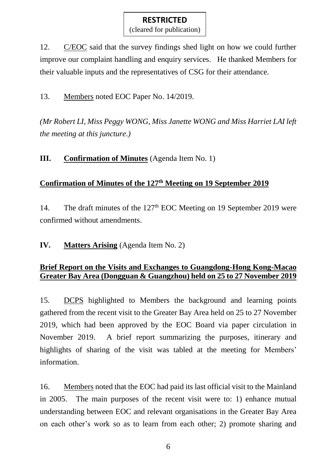12. C/EOC said that the survey findings shed light on how we could further improve our complaint handling and enquiry services. He thanked Members for their valuable inputs and the representatives of CSG for their attendance.

13. Members noted EOC Paper No. 14/2019.

*(Mr Robert LI, Miss Peggy WONG, Miss Janette WONG and Miss Harriet LAI left the meeting at this juncture.)*

### **III. Confirmation of Minutes** (Agenda Item No. 1)

## **Confirmation of Minutes of the 127 th Meeting on 19 September 2019**

14. The draft minutes of the 127<sup>th</sup> EOC Meeting on 19 September 2019 were confirmed without amendments.

**IV. Matters Arising** (Agenda Item No. 2)

#### **Brief Report on the Visits and Exchanges to Guangdong-Hong Kong-Macao Greater Bay Area (Dongguan & Guangzhou) held on 25 to 27 November 2019**

15. DCPS highlighted to Members the background and learning points gathered from the recent visit to the Greater Bay Area held on 25 to 27 November 2019, which had been approved by the EOC Board via paper circulation in November 2019. A brief report summarizing the purposes, itinerary and highlights of sharing of the visit was tabled at the meeting for Members' information.

16. Members noted that the EOC had paid its last official visit to the Mainland in 2005. The main purposes of the recent visit were to: 1) enhance mutual understanding between EOC and relevant organisations in the Greater Bay Area on each other's work so as to learn from each other; 2) promote sharing and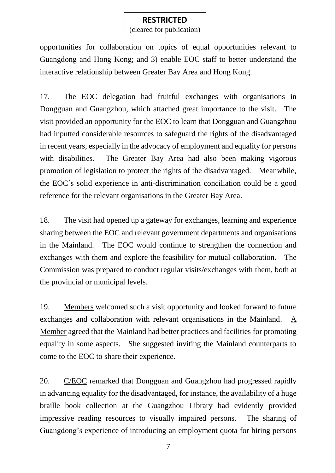(cleared for publication)

opportunities for collaboration on topics of equal opportunities relevant to Guangdong and Hong Kong; and 3) enable EOC staff to better understand the interactive relationship between Greater Bay Area and Hong Kong.

17. The EOC delegation had fruitful exchanges with organisations in Dongguan and Guangzhou, which attached great importance to the visit. The visit provided an opportunity for the EOC to learn that Dongguan and Guangzhou had inputted considerable resources to safeguard the rights of the disadvantaged in recent years, especially in the advocacy of employment and equality for persons with disabilities. The Greater Bay Area had also been making vigorous promotion of legislation to protect the rights of the disadvantaged. Meanwhile, the EOC's solid experience in anti-discrimination conciliation could be a good reference for the relevant organisations in the Greater Bay Area.

18. The visit had opened up a gateway for exchanges, learning and experience sharing between the EOC and relevant government departments and organisations in the Mainland. The EOC would continue to strengthen the connection and exchanges with them and explore the feasibility for mutual collaboration. The Commission was prepared to conduct regular visits/exchanges with them, both at the provincial or municipal levels.

19. Members welcomed such a visit opportunity and looked forward to future exchanges and collaboration with relevant organisations in the Mainland. A Member agreed that the Mainland had better practices and facilities for promoting equality in some aspects. She suggested inviting the Mainland counterparts to come to the EOC to share their experience.

20. C/EOC remarked that Dongguan and Guangzhou had progressed rapidly in advancing equality for the disadvantaged, for instance, the availability of a huge braille book collection at the Guangzhou Library had evidently provided impressive reading resources to visually impaired persons. The sharing of Guangdong's experience of introducing an employment quota for hiring persons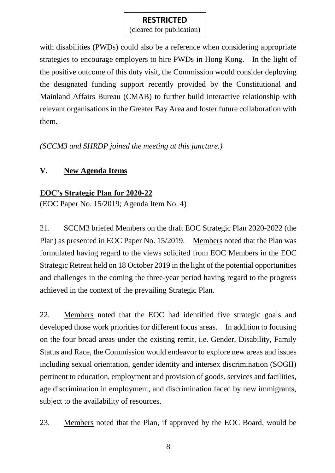(cleared for publication)

with disabilities (PWDs) could also be a reference when considering appropriate strategies to encourage employers to hire PWDs in Hong Kong. In the light of the positive outcome of this duty visit, the Commission would consider deploying the designated funding support recently provided by the Constitutional and Mainland Affairs Bureau (CMAB) to further build interactive relationship with relevant organisations in the Greater Bay Area and foster future collaboration with them.

*(SCCM3 and SHRDP joined the meeting at this juncture.)*

# **V. New Agenda Items**

# **EOC's Strategic Plan for 2020-22**

(EOC Paper No. 15/2019; Agenda Item No. 4)

21. SCCM3 briefed Members on the draft EOC Strategic Plan 2020-2022 (the Plan) as presented in EOC Paper No. 15/2019. Members noted that the Plan was formulated having regard to the views solicited from EOC Members in the EOC Strategic Retreat held on 18 October 2019 in the light of the potential opportunities and challenges in the coming the three-year period having regard to the progress achieved in the context of the prevailing Strategic Plan.

22. Members noted that the EOC had identified five strategic goals and developed those work priorities for different focus areas. In addition to focusing on the four broad areas under the existing remit, i.e. Gender, Disability, Family Status and Race, the Commission would endeavor to explore new areas and issues including sexual orientation, gender identity and intersex discrimination (SOGII) pertinent to education, employment and provision of goods, services and facilities, age discrimination in employment, and discrimination faced by new immigrants, subject to the availability of resources.

23. Members noted that the Plan, if approved by the EOC Board, would be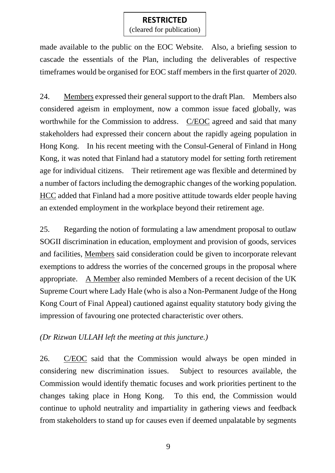(cleared for publication)

made available to the public on the EOC Website. Also, a briefing session to cascade the essentials of the Plan, including the deliverables of respective timeframes would be organised for EOC staff members in the first quarter of 2020.

24. Members expressed their general support to the draft Plan. Members also considered ageism in employment, now a common issue faced globally, was worthwhile for the Commission to address. C/EOC agreed and said that many stakeholders had expressed their concern about the rapidly ageing population in Hong Kong. In his recent meeting with the Consul-General of Finland in Hong Kong, it was noted that Finland had a statutory model for setting forth retirement age for individual citizens. Their retirement age was flexible and determined by a number of factors including the demographic changes of the working population. HCC added that Finland had a more positive attitude towards elder people having an extended employment in the workplace beyond their retirement age.

25. Regarding the notion of formulating a law amendment proposal to outlaw SOGII discrimination in education, employment and provision of goods, services and facilities, Members said consideration could be given to incorporate relevant exemptions to address the worries of the concerned groups in the proposal where appropriate. A Member also reminded Members of a recent decision of the UK Supreme Court where Lady Hale (who is also a Non-Permanent Judge of the Hong Kong Court of Final Appeal) cautioned against equality statutory body giving the impression of favouring one protected characteristic over others.

## *(Dr Rizwan ULLAH left the meeting at this juncture.)*

26. C/EOC said that the Commission would always be open minded in considering new discrimination issues. Subject to resources available, the Commission would identify thematic focuses and work priorities pertinent to the changes taking place in Hong Kong. To this end, the Commission would continue to uphold neutrality and impartiality in gathering views and feedback from stakeholders to stand up for causes even if deemed unpalatable by segments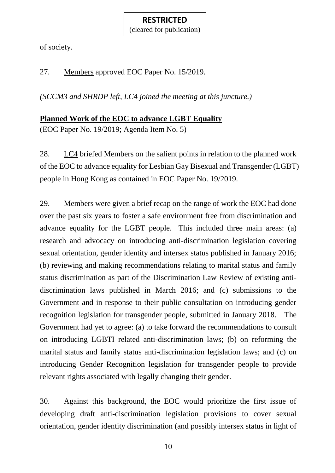#### **RESTRICTED** (cleared for publication)

of society.

27. Members approved EOC Paper No. 15/2019.

*(SCCM3 and SHRDP left, LC4 joined the meeting at this juncture.)*

### **Planned Work of the EOC to advance LGBT Equality**

(EOC Paper No. 19/2019; Agenda Item No. 5)

28. LC4 briefed Members on the salient points in relation to the planned work of the EOC to advance equality for Lesbian Gay Bisexual and Transgender (LGBT) people in Hong Kong as contained in EOC Paper No. 19/2019.

29. Members were given a brief recap on the range of work the EOC had done over the past six years to foster a safe environment free from discrimination and advance equality for the LGBT people. This included three main areas: (a) research and advocacy on introducing anti-discrimination legislation covering sexual orientation, gender identity and intersex status published in January 2016; (b) reviewing and making recommendations relating to marital status and family status discrimination as part of the Discrimination Law Review of existing antidiscrimination laws published in March 2016; and (c) submissions to the Government and in response to their public consultation on introducing gender recognition legislation for transgender people, submitted in January 2018. The Government had yet to agree: (a) to take forward the recommendations to consult on introducing LGBTI related anti-discrimination laws; (b) on reforming the marital status and family status anti-discrimination legislation laws; and (c) on introducing Gender Recognition legislation for transgender people to provide relevant rights associated with legally changing their gender.

30. Against this background, the EOC would prioritize the first issue of developing draft anti-discrimination legislation provisions to cover sexual orientation, gender identity discrimination (and possibly intersex status in light of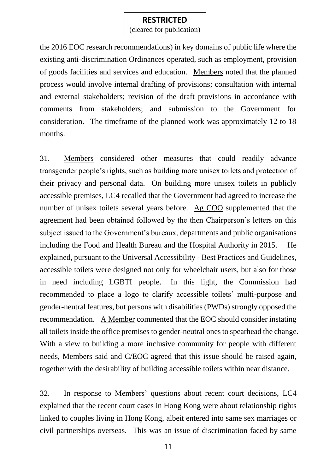(cleared for publication)

the 2016 EOC research recommendations) in key domains of public life where the existing anti-discrimination Ordinances operated, such as employment, provision of goods facilities and services and education. Members noted that the planned process would involve internal drafting of provisions; consultation with internal and external stakeholders; revision of the draft provisions in accordance with comments from stakeholders; and submission to the Government for consideration. The timeframe of the planned work was approximately 12 to 18 months.

31. Members considered other measures that could readily advance transgender people's rights, such as building more unisex toilets and protection of their privacy and personal data. On building more unisex toilets in publicly accessible premises, LC4 recalled that the Government had agreed to increase the number of unisex toilets several years before. Ag COO supplemented that the agreement had been obtained followed by the then Chairperson's letters on this subject issued to the Government's bureaux, departments and public organisations including the Food and Health Bureau and the Hospital Authority in 2015. He explained, pursuant to the Universal Accessibility - Best Practices and Guidelines, accessible toilets were designed not only for wheelchair users, but also for those in need including LGBTI people. In this light, the Commission had recommended to place a logo to clarify accessible toilets' multi-purpose and gender-neutral features, but persons with disabilities (PWDs) strongly opposed the recommendation. A Member commented that the EOC should consider instating all toilets inside the office premises to gender-neutral ones to spearhead the change. With a view to building a more inclusive community for people with different needs, Members said and C/EOC agreed that this issue should be raised again, together with the desirability of building accessible toilets within near distance.

32. In response to Members' questions about recent court decisions, LC4 explained that the recent court cases in Hong Kong were about relationship rights linked to couples living in Hong Kong, albeit entered into same sex marriages or civil partnerships overseas. This was an issue of discrimination faced by same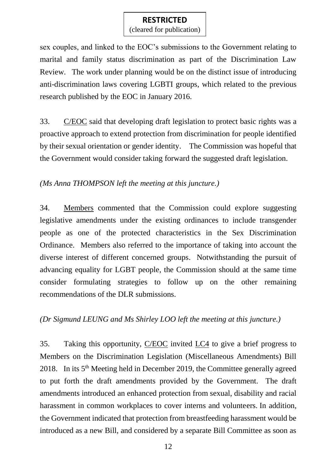(cleared for publication)

sex couples, and linked to the EOC's submissions to the Government relating to marital and family status discrimination as part of the Discrimination Law Review. The work under planning would be on the distinct issue of introducing anti-discrimination laws covering LGBTI groups, which related to the previous research published by the EOC in January 2016.

33. C/EOC said that developing draft legislation to protect basic rights was a proactive approach to extend protection from discrimination for people identified by their sexual orientation or gender identity. The Commission was hopeful that the Government would consider taking forward the suggested draft legislation.

### *(Ms Anna THOMPSON left the meeting at this juncture.)*

34. Members commented that the Commission could explore suggesting legislative amendments under the existing ordinances to include transgender people as one of the protected characteristics in the Sex Discrimination Ordinance. Members also referred to the importance of taking into account the diverse interest of different concerned groups. Notwithstanding the pursuit of advancing equality for LGBT people, the Commission should at the same time consider formulating strategies to follow up on the other remaining recommendations of the DLR submissions.

#### *(Dr Sigmund LEUNG and Ms Shirley LOO left the meeting at this juncture.)*

35. Taking this opportunity, C/EOC invited LC4 to give a brief progress to Members on the Discrimination Legislation (Miscellaneous Amendments) Bill 2018. In its 5th Meeting held in December 2019, the Committee generally agreed to put forth the draft amendments provided by the Government. The draft amendments introduced an enhanced protection from sexual, disability and racial harassment in common workplaces to cover interns and volunteers. In addition, the Government indicated that protection from breastfeeding harassment would be introduced as a new Bill, and considered by a separate Bill Committee as soon as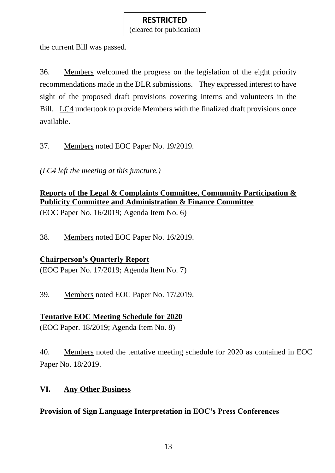(cleared for publication)

the current Bill was passed.

36. Members welcomed the progress on the legislation of the eight priority recommendations made in the DLR submissions. They expressed interest to have sight of the proposed draft provisions covering interns and volunteers in the Bill. LC4 undertook to provide Members with the finalized draft provisions once available.

37. Members noted EOC Paper No. 19/2019.

*(LC4 left the meeting at this juncture.)*

# **Reports of the Legal & Complaints Committee, Community Participation & Publicity Committee and Administration & Finance Committee**

(EOC Paper No. 16/2019; Agenda Item No. 6)

38. Members noted EOC Paper No. 16/2019.

## **Chairperson's Quarterly Report**

(EOC Paper No. 17/2019; Agenda Item No. 7)

39. Members noted EOC Paper No. 17/2019.

## **Tentative EOC Meeting Schedule for 2020**

(EOC Paper. 18/2019; Agenda Item No. 8)

40. Members noted the tentative meeting schedule for 2020 as contained in EOC Paper No. 18/2019.

## **VI. Any Other Business**

# **Provision of Sign Language Interpretation in EOC's Press Conferences**